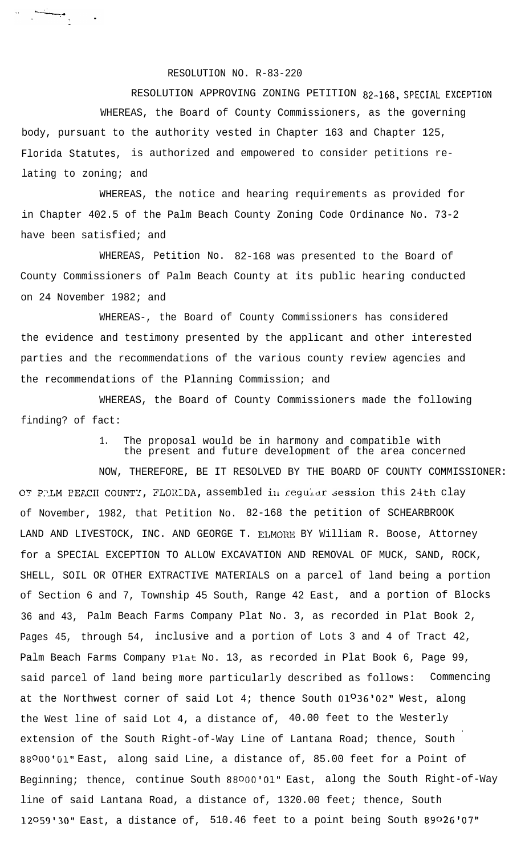## RESOLUTION NO. R-83-220

RESOLUTION APPROVING ZONING PETITION 82-168, SPECIAL EXCEPTION WHEREAS, the Board of County Commissioners, as the governing body, pursuant to the authority vested in Chapter 163 and Chapter 125, Florida Statutes, is authorized and empowered to consider petitions relating to zoning; and

WHEREAS, the notice and hearing requirements as provided for in Chapter 402.5 of the Palm Beach County Zoning Code Ordinance No. 73-2 have been satisfied; and

WHEREAS, Petition No. 82-168 was presented to the Board of County Commissioners of Palm Beach County at its public hearing conducted on 24 November 1982; and

WHEREAS-, the Board of County Commissioners has considered the evidence and testimony presented by the applicant and other interested parties and the recommendations of the various county review agencies and the recommendations of the Planning Commission; and

WHEREAS, the Board of County Commissioners made the following finding? of fact:

> 1. The proposal would be in harmony and compatible with the present and future development of the area concerned

NOW, THEREFORE, BE IT RESOLVED BY THE BOARD OF COUNTY COMMISSIONER: OT PRIM PEACH COUNTY, FLORIDA, assembled in regular session this 24th clay of November, 1982, that Petition No. 82-168 the petition of SCHEARBROOK LAND AND LIVESTOCK, INC. AND GEORGE T. ELMORE BY William R. Boose, Attorney for a SPECIAL EXCEPTION TO ALLOW EXCAVATION AND REMOVAL OF MUCK, SAND, ROCK, SHELL, SOIL OR OTHER EXTRACTIVE MATERIALS on a parcel of land being a portion of Section 6 and 7, Township 45 South, Range 42 East, and a portion of Blocks 36 and 43, Palm Beach Farms Company Plat No. 3, as recorded in Plat Book 2, Pages 45, through 54, inclusive and a portion of Lots 3 and 4 of Tract 42, Palm Beach Farms Company Plat No. 13, as recorded in Plat Book 6, Page 99, said parcel of land being more particularly described as follows: Commencing at the Northwest corner of said Lot 4; thence South  $01^036'02''$  West, along the West line of said Lot 4, a distance of, 40.00 feet to the Westerly . extension of the South Right-of-Way Line of Lantana Road; thence, South 88°00'G1" East, along said Line, a distance of, 85.00 feet for a Point of Beginning; thence, continue South 88000'01" East, along the South Right-of-Way line of said Lantana Road, a distance of, 1320.00 feet; thence, South 12o59'30" East, a distance of, 510.46 feet to a point being South 89026'07"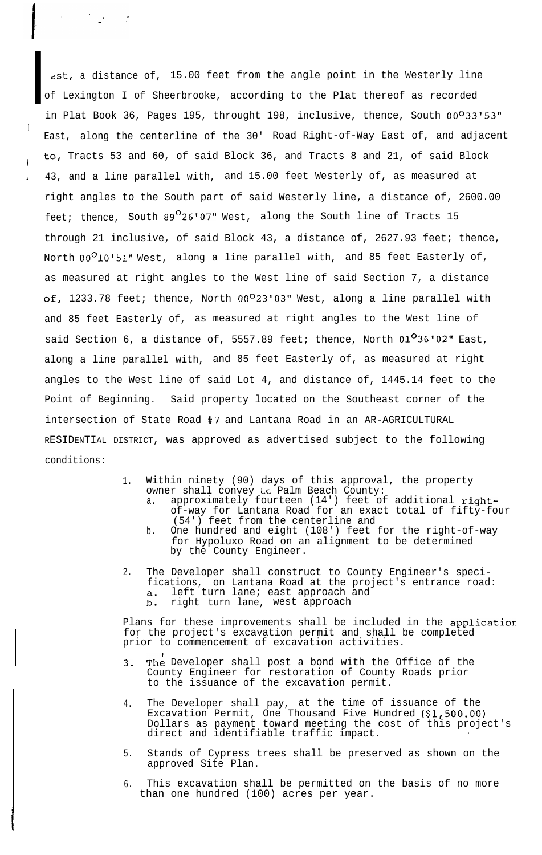**I** 2st, <sup>a</sup> distance of, 15.00 feet from the angle point in the Westerly line of Lexington I of Sheerbrooke, according to the Plat thereof as recorded in Plat Book 36, Pages 195, throught 198, inclusive, thence, South 00°33'53" East, along the centerline of the 30' Road Right-of-Way East of, and adjacent to, Tracts 53 and 60, of said Block 36, and Tracts 8 and 21, of said Block 43, and a line parallel with, and 15.00 feet Westerly of, as measured at right angles to the South part of said Westerly line, a distance of, 2600.00 feet; thence, South  $89^{\circ}$ 26'07" West, along the South line of Tracts 15 through 21 inclusive, of said Block 43, a distance of, 2627.93 feet; thence, North 00<sup>0</sup>10'51" West, along a line parallel with, and 85 feet Easterly of, as measured at right angles to the West line of said Section 7, a distance of, 1233.78 feet; thence, North  $00^{\circ}23'03''$  West, along a line parallel with and 85 feet Easterly of, as measured at right angles to the West line of said Section 6, a distance of, 5557.89 feet; thence, North  $01^036'02''$  East, along a line parallel with, and 85 feet Easterly of, as measured at right angles to the West line of said Lot 4, and distance of, 1445.14 feet to the Point of Beginning. Said property located on the Southeast corner of the intersection of State Road #7 and Lantana Road in an AR-AGRICULTURAL RESIDENTIAL DISTRICT, was approved as advertised subject to the following conditions:

I

 $\mathcal{L}^{\text{max}}_{\text{max}}$  and  $\mathcal{L}^{\text{max}}_{\text{max}}$ 

!

i

- 1. Within ninety (90) days of this approval, the property owner shall convey to Palm Beach County:
	- a. approximately fourteen (14') feet of additional rightof-way for Lantana Road for an exact total of fifty-four (54') feet from the centerline and
	- b. One hundred and eight (108') feet for the right-of-way for Hypoluxo Road on an alignment to be determined by the County Engineer.
- 2. The Developer shall construct to County Engineer's specifications, on Lantana Road at the project's entrance road:  $a_{\bullet}$ left turn lane; east approach and right turn lane, west approach  $b$ .

Plans for these improvements shall be included in the applicatior for the project's excavation permit and shall be completed prior to commencement of excavation activities.

- 3. The Developer shall post a bond with the Office of the County Engineer for restoration of County Roads prior to the issuance of the excavation permit.
- 4. The Developer shall pay, at the time of issuance of the Excavation Permit, One Thousand Five Hundred (\$1,500.00) Dollars as payment toward meeting the cost of this project's direct and identifiable traffic impact. .
- 5. Stands of Cypress trees shall be preserved as shown on the approved Site Plan.
- 6. This excavation shall be permitted on the basis of no more than one hundred (100) acres per year.